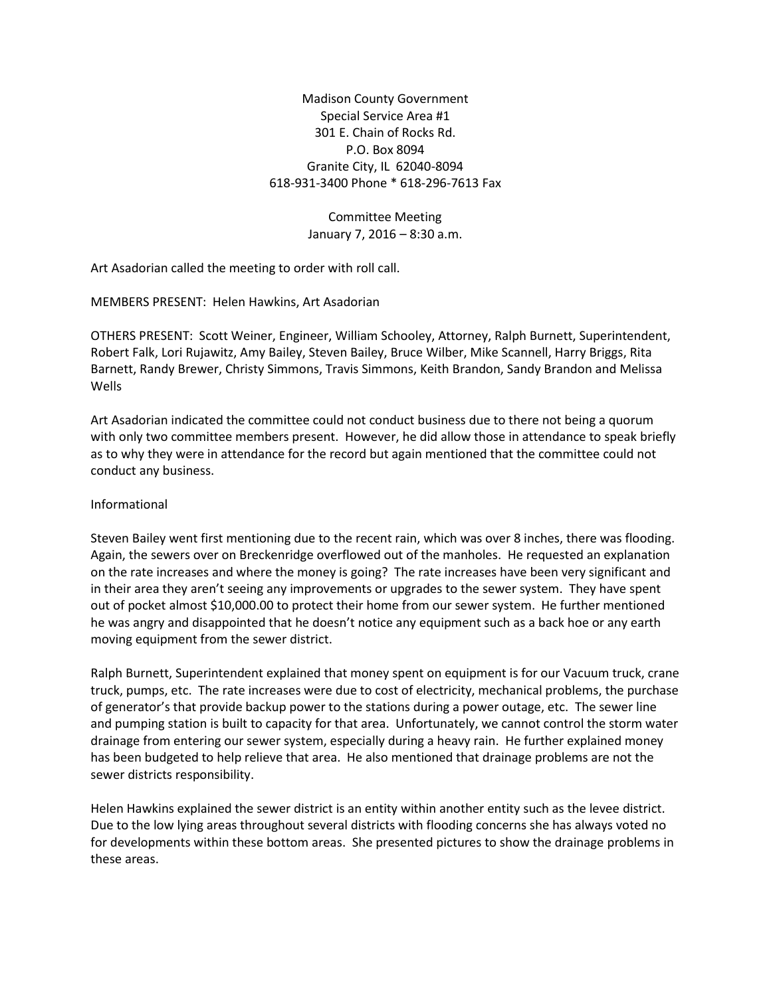Madison County Government Special Service Area #1 301 E. Chain of Rocks Rd. P.O. Box 8094 Granite City, IL 62040-8094 618-931-3400 Phone \* 618-296-7613 Fax

> Committee Meeting January 7, 2016 – 8:30 a.m.

Art Asadorian called the meeting to order with roll call.

MEMBERS PRESENT: Helen Hawkins, Art Asadorian

OTHERS PRESENT: Scott Weiner, Engineer, William Schooley, Attorney, Ralph Burnett, Superintendent, Robert Falk, Lori Rujawitz, Amy Bailey, Steven Bailey, Bruce Wilber, Mike Scannell, Harry Briggs, Rita Barnett, Randy Brewer, Christy Simmons, Travis Simmons, Keith Brandon, Sandy Brandon and Melissa Wells

Art Asadorian indicated the committee could not conduct business due to there not being a quorum with only two committee members present. However, he did allow those in attendance to speak briefly as to why they were in attendance for the record but again mentioned that the committee could not conduct any business.

## Informational

Steven Bailey went first mentioning due to the recent rain, which was over 8 inches, there was flooding. Again, the sewers over on Breckenridge overflowed out of the manholes. He requested an explanation on the rate increases and where the money is going? The rate increases have been very significant and in their area they aren't seeing any improvements or upgrades to the sewer system. They have spent out of pocket almost \$10,000.00 to protect their home from our sewer system. He further mentioned he was angry and disappointed that he doesn't notice any equipment such as a back hoe or any earth moving equipment from the sewer district.

Ralph Burnett, Superintendent explained that money spent on equipment is for our Vacuum truck, crane truck, pumps, etc. The rate increases were due to cost of electricity, mechanical problems, the purchase of generator's that provide backup power to the stations during a power outage, etc. The sewer line and pumping station is built to capacity for that area. Unfortunately, we cannot control the storm water drainage from entering our sewer system, especially during a heavy rain. He further explained money has been budgeted to help relieve that area. He also mentioned that drainage problems are not the sewer districts responsibility.

Helen Hawkins explained the sewer district is an entity within another entity such as the levee district. Due to the low lying areas throughout several districts with flooding concerns she has always voted no for developments within these bottom areas. She presented pictures to show the drainage problems in these areas.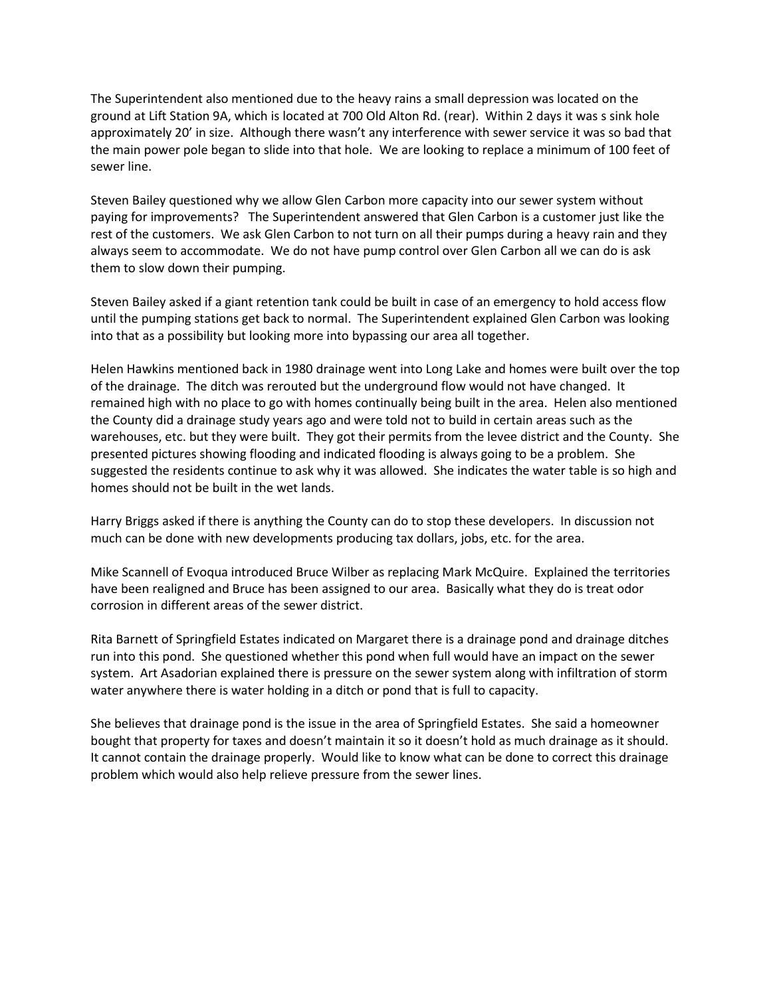The Superintendent also mentioned due to the heavy rains a small depression was located on the ground at Lift Station 9A, which is located at 700 Old Alton Rd. (rear). Within 2 days it was s sink hole approximately 20' in size. Although there wasn't any interference with sewer service it was so bad that the main power pole began to slide into that hole. We are looking to replace a minimum of 100 feet of sewer line.

Steven Bailey questioned why we allow Glen Carbon more capacity into our sewer system without paying for improvements? The Superintendent answered that Glen Carbon is a customer just like the rest of the customers. We ask Glen Carbon to not turn on all their pumps during a heavy rain and they always seem to accommodate. We do not have pump control over Glen Carbon all we can do is ask them to slow down their pumping.

Steven Bailey asked if a giant retention tank could be built in case of an emergency to hold access flow until the pumping stations get back to normal. The Superintendent explained Glen Carbon was looking into that as a possibility but looking more into bypassing our area all together.

Helen Hawkins mentioned back in 1980 drainage went into Long Lake and homes were built over the top of the drainage. The ditch was rerouted but the underground flow would not have changed. It remained high with no place to go with homes continually being built in the area. Helen also mentioned the County did a drainage study years ago and were told not to build in certain areas such as the warehouses, etc. but they were built. They got their permits from the levee district and the County. She presented pictures showing flooding and indicated flooding is always going to be a problem. She suggested the residents continue to ask why it was allowed. She indicates the water table is so high and homes should not be built in the wet lands.

Harry Briggs asked if there is anything the County can do to stop these developers. In discussion not much can be done with new developments producing tax dollars, jobs, etc. for the area.

Mike Scannell of Evoqua introduced Bruce Wilber as replacing Mark McQuire. Explained the territories have been realigned and Bruce has been assigned to our area. Basically what they do is treat odor corrosion in different areas of the sewer district.

Rita Barnett of Springfield Estates indicated on Margaret there is a drainage pond and drainage ditches run into this pond. She questioned whether this pond when full would have an impact on the sewer system. Art Asadorian explained there is pressure on the sewer system along with infiltration of storm water anywhere there is water holding in a ditch or pond that is full to capacity.

She believes that drainage pond is the issue in the area of Springfield Estates. She said a homeowner bought that property for taxes and doesn't maintain it so it doesn't hold as much drainage as it should. It cannot contain the drainage properly. Would like to know what can be done to correct this drainage problem which would also help relieve pressure from the sewer lines.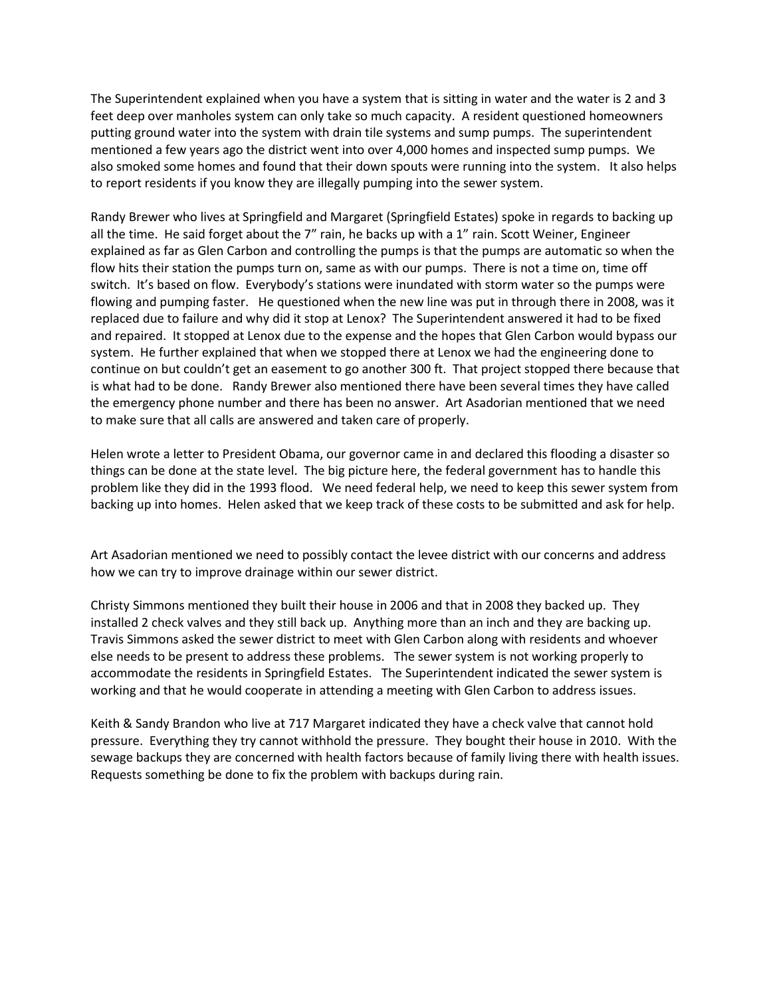The Superintendent explained when you have a system that is sitting in water and the water is 2 and 3 feet deep over manholes system can only take so much capacity. A resident questioned homeowners putting ground water into the system with drain tile systems and sump pumps. The superintendent mentioned a few years ago the district went into over 4,000 homes and inspected sump pumps. We also smoked some homes and found that their down spouts were running into the system. It also helps to report residents if you know they are illegally pumping into the sewer system.

Randy Brewer who lives at Springfield and Margaret (Springfield Estates) spoke in regards to backing up all the time. He said forget about the 7" rain, he backs up with a 1" rain. Scott Weiner, Engineer explained as far as Glen Carbon and controlling the pumps is that the pumps are automatic so when the flow hits their station the pumps turn on, same as with our pumps. There is not a time on, time off switch. It's based on flow. Everybody's stations were inundated with storm water so the pumps were flowing and pumping faster. He questioned when the new line was put in through there in 2008, was it replaced due to failure and why did it stop at Lenox? The Superintendent answered it had to be fixed and repaired. It stopped at Lenox due to the expense and the hopes that Glen Carbon would bypass our system. He further explained that when we stopped there at Lenox we had the engineering done to continue on but couldn't get an easement to go another 300 ft. That project stopped there because that is what had to be done. Randy Brewer also mentioned there have been several times they have called the emergency phone number and there has been no answer. Art Asadorian mentioned that we need to make sure that all calls are answered and taken care of properly.

Helen wrote a letter to President Obama, our governor came in and declared this flooding a disaster so things can be done at the state level. The big picture here, the federal government has to handle this problem like they did in the 1993 flood. We need federal help, we need to keep this sewer system from backing up into homes. Helen asked that we keep track of these costs to be submitted and ask for help.

Art Asadorian mentioned we need to possibly contact the levee district with our concerns and address how we can try to improve drainage within our sewer district.

Christy Simmons mentioned they built their house in 2006 and that in 2008 they backed up. They installed 2 check valves and they still back up. Anything more than an inch and they are backing up. Travis Simmons asked the sewer district to meet with Glen Carbon along with residents and whoever else needs to be present to address these problems. The sewer system is not working properly to accommodate the residents in Springfield Estates. The Superintendent indicated the sewer system is working and that he would cooperate in attending a meeting with Glen Carbon to address issues.

Keith & Sandy Brandon who live at 717 Margaret indicated they have a check valve that cannot hold pressure. Everything they try cannot withhold the pressure. They bought their house in 2010. With the sewage backups they are concerned with health factors because of family living there with health issues. Requests something be done to fix the problem with backups during rain.